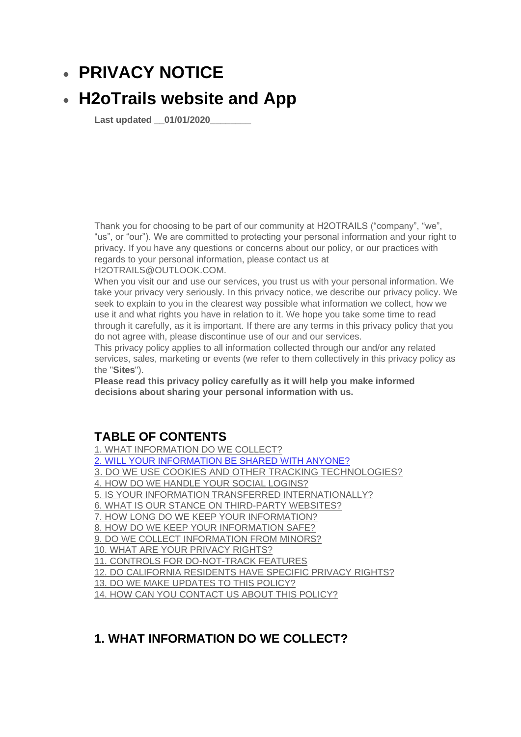# • **PRIVACY NOTICE**

# • **H2oTrails website and App**

**Last updated \_\_01/01/2020\_\_\_\_\_\_\_\_** 

Thank you for choosing to be part of our community at H2OTRAILS ("company", "we", "us", or "our"). We are committed to protecting your personal information and your right to privacy. If you have any questions or concerns about our policy, or our practices with regards to your personal information, please contact us at H2OTRAILS@OUTLOOK.COM.

When you visit our and use our services, you trust us with your personal information. We take your privacy very seriously. In this privacy notice, we describe our privacy policy. We seek to explain to you in the clearest way possible what information we collect, how we use it and what rights you have in relation to it. We hope you take some time to read through it carefully, as it is important. If there are any terms in this privacy policy that you do not agree with, please discontinue use of our and our services.

This privacy policy applies to all information collected through our and/or any related services, sales, marketing or events (we refer to them collectively in this privacy policy as the "**Sites**").

**Please read this privacy policy carefully as it will help you make informed decisions about sharing your personal information with us.** 

## **TABLE OF CONTENTS**

[1. WHAT INFORMATION DO WE COLLECT?](https://app.termly.io/dashboard/website/438763/privacy-policy#infocollect)

[2. WILL YOUR INFORMATION BE SHARED WITH ANYONE?](https://app.termly.io/dashboard/website/438763/privacy-policy#infoshare)

[3. DO WE USE COOKIES AND OTHER TRACKING TECHNOLOGIES?](https://app.termly.io/dashboard/website/438763/privacy-policy#cookies) 

[4. HOW DO WE HANDLE YOUR SOCIAL LOGINS?](https://app.termly.io/dashboard/website/438763/privacy-policy#sociallogins)

[5. IS YOUR INFORMATION TRANSFERRED INTERNATIONALLY?](https://app.termly.io/dashboard/website/438763/privacy-policy#intltransfers)

[6. WHAT IS OUR STANCE ON THIRD-PARTY WEBSITES?](https://app.termly.io/dashboard/website/438763/privacy-policy#3pwebsites)

[7. HOW LONG DO WE KEEP YOUR INFORMATION?](https://app.termly.io/dashboard/website/438763/privacy-policy#inforetain)

[8. HOW DO WE KEEP YOUR INFORMATION SAFE?](https://app.termly.io/dashboard/website/438763/privacy-policy#infosafe)

[9. DO WE COLLECT INFORMATION FROM MINORS?](https://app.termly.io/dashboard/website/438763/privacy-policy#infominors)

[10. WHAT ARE YOUR PRIVACY RIGHTS?](https://app.termly.io/dashboard/website/438763/privacy-policy#privacyrights)

[11. CONTROLS FOR DO-NOT-TRACK FEATURES](https://app.termly.io/dashboard/website/438763/privacy-policy#DNT)

[12. DO CALIFORNIA RESIDENTS HAVE SPECIFIC PRIVACY RIGHTS?](https://app.termly.io/dashboard/website/438763/privacy-policy#caresidents)

[13. DO WE MAKE UPDATES TO THIS POLICY?](https://app.termly.io/dashboard/website/438763/privacy-policy#policyupdates)

[14. HOW CAN YOU CONTACT US ABOUT THIS POLICY?](https://app.termly.io/dashboard/website/438763/privacy-policy#contact)

## **1. WHAT INFORMATION DO WE COLLECT?**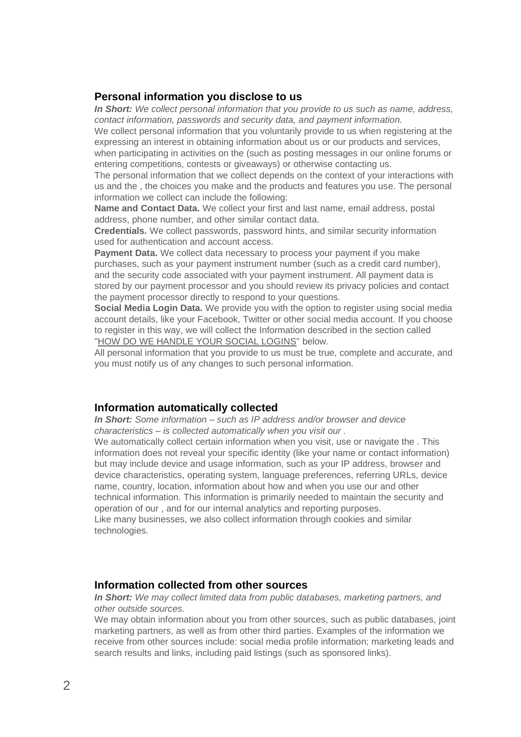#### **Personal information you disclose to us**

*In Short: We collect personal information that you provide to us such as name, address, contact information, passwords and security data, and payment information.*

We collect personal information that you voluntarily provide to us when registering at the expressing an interest in obtaining information about us or our products and services,

when participating in activities on the (such as posting messages in our online forums or entering competitions, contests or giveaways) or otherwise contacting us.

The personal information that we collect depends on the context of your interactions with us and the , the choices you make and the products and features you use. The personal information we collect can include the following:

**Name and Contact Data.** We collect your first and last name, email address, postal address, phone number, and other similar contact data.

**Credentials.** We collect passwords, password hints, and similar security information used for authentication and account access.

**Payment Data.** We collect data necessary to process your payment if you make purchases, such as your payment instrument number (such as a credit card number), and the security code associated with your payment instrument. All payment data is stored by our payment processor and you should review its privacy policies and contact the payment processor directly to respond to your questions.

**Social Media Login Data.** We provide you with the option to register using social media account details, like your Facebook, Twitter or other social media account. If you choose to register in this way, we will collect the Information described in the section called ["HOW DO WE HANDLE YOUR SOCIAL LOGINS"](https://app.termly.io/dashboard/website/438763/privacy-policy#sociallogins) below.

All personal information that you provide to us must be true, complete and accurate, and you must notify us of any changes to such personal information.

#### **Information automatically collected**

*In Short: Some information – such as IP address and/or browser and device characteristics – is collected automatically when you visit our .*

We automatically collect certain information when you visit, use or navigate the . This information does not reveal your specific identity (like your name or contact information) but may include device and usage information, such as your IP address, browser and device characteristics, operating system, language preferences, referring URLs, device name, country, location, information about how and when you use our and other technical information. This information is primarily needed to maintain the security and operation of our , and for our internal analytics and reporting purposes. Like many businesses, we also collect information through cookies and similar

technologies.

#### **Information collected from other sources**

*In Short: We may collect limited data from public databases, marketing partners, and other outside sources.* 

We may obtain information about you from other sources, such as public databases, joint marketing partners, as well as from other third parties. Examples of the information we receive from other sources include: social media profile information; marketing leads and search results and links, including paid listings (such as sponsored links).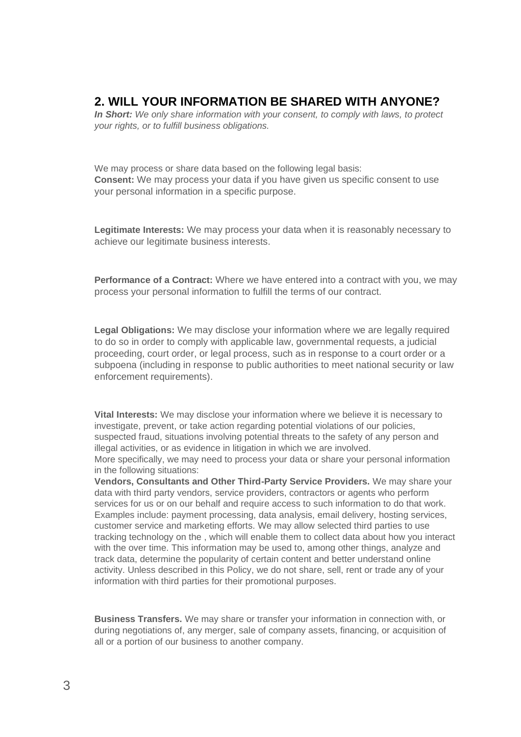## **2. WILL YOUR INFORMATION BE SHARED WITH ANYONE?**

*In Short: We only share information with your consent, to comply with laws, to protect your rights, or to fulfill business obligations.* 

We may process or share data based on the following legal basis: **Consent:** We may process your data if you have given us specific consent to use your personal information in a specific purpose.

**Legitimate Interests:** We may process your data when it is reasonably necessary to achieve our legitimate business interests.

**Performance of a Contract:** Where we have entered into a contract with you, we may process your personal information to fulfill the terms of our contract.

**Legal Obligations:** We may disclose your information where we are legally required to do so in order to comply with applicable law, governmental requests, a judicial proceeding, court order, or legal process, such as in response to a court order or a subpoena (including in response to public authorities to meet national security or law enforcement requirements).

**Vital Interests:** We may disclose your information where we believe it is necessary to investigate, prevent, or take action regarding potential violations of our policies, suspected fraud, situations involving potential threats to the safety of any person and illegal activities, or as evidence in litigation in which we are involved. More specifically, we may need to process your data or share your personal information

in the following situations:

**Vendors, Consultants and Other Third-Party Service Providers.** We may share your data with third party vendors, service providers, contractors or agents who perform services for us or on our behalf and require access to such information to do that work. Examples include: payment processing, data analysis, email delivery, hosting services, customer service and marketing efforts. We may allow selected third parties to use tracking technology on the , which will enable them to collect data about how you interact with the over time. This information may be used to, among other things, analyze and track data, determine the popularity of certain content and better understand online activity. Unless described in this Policy, we do not share, sell, rent or trade any of your information with third parties for their promotional purposes.

**Business Transfers.** We may share or transfer your information in connection with, or during negotiations of, any merger, sale of company assets, financing, or acquisition of all or a portion of our business to another company.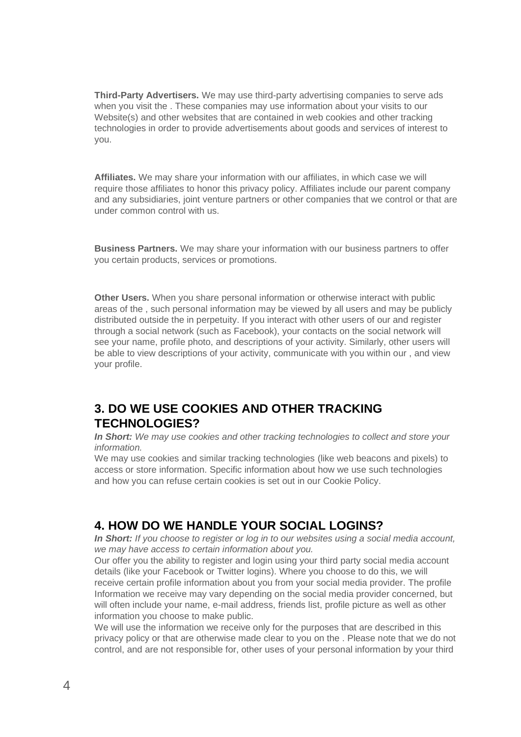**Third-Party Advertisers.** We may use third-party advertising companies to serve ads when you visit the . These companies may use information about your visits to our Website(s) and other websites that are contained in web cookies and other tracking technologies in order to provide advertisements about goods and services of interest to you.

**Affiliates.** We may share your information with our affiliates, in which case we will require those affiliates to honor this privacy policy. Affiliates include our parent company and any subsidiaries, joint venture partners or other companies that we control or that are under common control with us.

**Business Partners.** We may share your information with our business partners to offer you certain products, services or promotions.

**Other Users.** When you share personal information or otherwise interact with public areas of the , such personal information may be viewed by all users and may be publicly distributed outside the in perpetuity. If you interact with other users of our and register through a social network (such as Facebook), your contacts on the social network will see your name, profile photo, and descriptions of your activity. Similarly, other users will be able to view descriptions of your activity, communicate with you within our , and view your profile.

# **3. DO WE USE COOKIES AND OTHER TRACKING TECHNOLOGIES?**

*In Short: We may use cookies and other tracking technologies to collect and store your information.*

We may use cookies and similar tracking technologies (like web beacons and pixels) to access or store information. Specific information about how we use such technologies and how you can refuse certain cookies is set out in our Cookie Policy.

## **4. HOW DO WE HANDLE YOUR SOCIAL LOGINS?**

*In Short: If you choose to register or log in to our websites using a social media account, we may have access to certain information about you.*

Our offer you the ability to register and login using your third party social media account details (like your Facebook or Twitter logins). Where you choose to do this, we will receive certain profile information about you from your social media provider. The profile Information we receive may vary depending on the social media provider concerned, but will often include your name, e-mail address, friends list, profile picture as well as other information you choose to make public.

We will use the information we receive only for the purposes that are described in this privacy policy or that are otherwise made clear to you on the . Please note that we do not control, and are not responsible for, other uses of your personal information by your third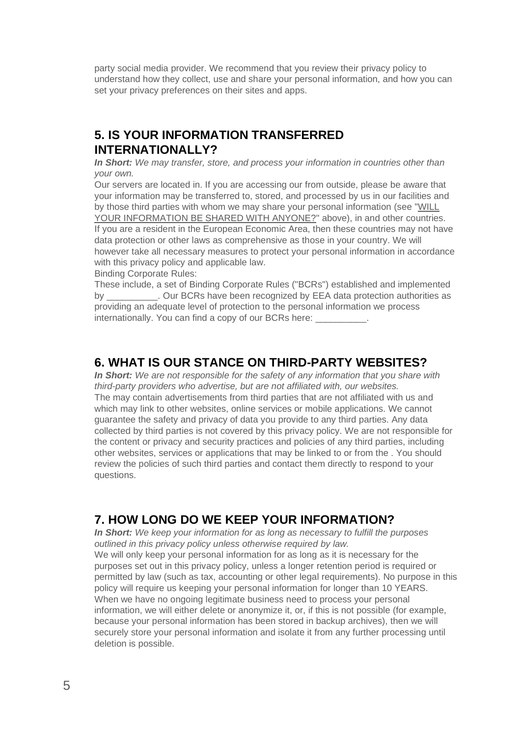party social media provider. We recommend that you review their privacy policy to understand how they collect, use and share your personal information, and how you can set your privacy preferences on their sites and apps.

## **5. IS YOUR INFORMATION TRANSFERRED INTERNATIONALLY?**

*In Short: We may transfer, store, and process your information in countries other than your own.*

Our servers are located in. If you are accessing our from outside, please be aware that your information may be transferred to, stored, and processed by us in our facilities and by those third parties with whom we may share your personal information (see ["WILL](https://app.termly.io/dashboard/website/438763/privacy-policy#infoshare)  [YOUR INFORMATION BE SHARED WITH ANYONE?"](https://app.termly.io/dashboard/website/438763/privacy-policy#infoshare) above), in and other countries. If you are a resident in the European Economic Area, then these countries may not have data protection or other laws as comprehensive as those in your country. We will however take all necessary measures to protect your personal information in accordance with this privacy policy and applicable law.

Binding Corporate Rules:

These include, a set of Binding Corporate Rules ("BCRs") established and implemented by Dur BCRs have been recognized by EEA data protection authorities as providing an adequate level of protection to the personal information we process internationally. You can find a copy of our BCRs here:

#### **6. WHAT IS OUR STANCE ON THIRD-PARTY WEBSITES?**

*In Short: We are not responsible for the safety of any information that you share with third-party providers who advertise, but are not affiliated with, our websites.*  The may contain advertisements from third parties that are not affiliated with us and which may link to other websites, online services or mobile applications. We cannot guarantee the safety and privacy of data you provide to any third parties. Any data collected by third parties is not covered by this privacy policy. We are not responsible for the content or privacy and security practices and policies of any third parties, including other websites, services or applications that may be linked to or from the . You should review the policies of such third parties and contact them directly to respond to your questions.

## **7. HOW LONG DO WE KEEP YOUR INFORMATION?**

*In Short: We keep your information for as long as necessary to fulfill the purposes outlined in this privacy policy unless otherwise required by law.* We will only keep your personal information for as long as it is necessary for the purposes set out in this privacy policy, unless a longer retention period is required or permitted by law (such as tax, accounting or other legal requirements). No purpose in this policy will require us keeping your personal information for longer than 10 YEARS. When we have no ongoing legitimate business need to process your personal information, we will either delete or anonymize it, or, if this is not possible (for example, because your personal information has been stored in backup archives), then we will securely store your personal information and isolate it from any further processing until deletion is possible.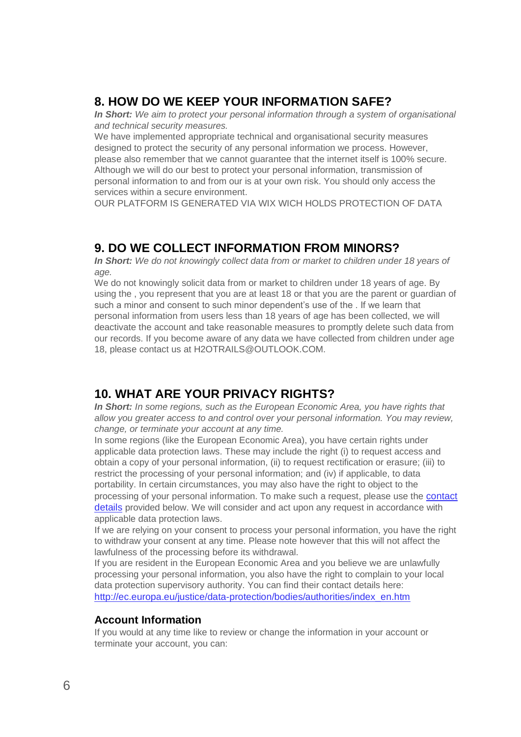## **8. HOW DO WE KEEP YOUR INFORMATION SAFE?**

*In Short:* We aim to protect your personal information through a system of organisational *and technical security measures.*

We have implemented appropriate technical and organisational security measures designed to protect the security of any personal information we process. However, please also remember that we cannot guarantee that the internet itself is 100% secure. Although we will do our best to protect your personal information, transmission of personal information to and from our is at your own risk. You should only access the services within a secure environment.

OUR PLATFORM IS GENERATED VIA WIX WICH HOLDS PROTECTION OF DATA

## **9. DO WE COLLECT INFORMATION FROM MINORS?**

*In Short: We do not knowingly collect data from or market to children under 18 years of age.*

We do not knowingly solicit data from or market to children under 18 years of age. By using the , you represent that you are at least 18 or that you are the parent or guardian of such a minor and consent to such minor dependent's use of the . If we learn that personal information from users less than 18 years of age has been collected, we will deactivate the account and take reasonable measures to promptly delete such data from our records. If you become aware of any data we have collected from children under age 18, please contact us at H2OTRAILS@OUTLOOK.COM.

## **10. WHAT ARE YOUR PRIVACY RIGHTS?**

*In Short: In some regions, such as the European Economic Area, you have rights that allow you greater access to and control over your personal information. You may review, change, or terminate your account at any time.*

In some regions (like the European Economic Area), you have certain rights under applicable data protection laws. These may include the right (i) to request access and obtain a copy of your personal information, (ii) to request rectification or erasure; (iii) to restrict the processing of your personal information; and (iv) if applicable, to data portability. In certain circumstances, you may also have the right to object to the processing of your personal information. To make such a request, please use the [contact](https://app.termly.io/dashboard/website/438763/privacy-policy#contact)  [details](https://app.termly.io/dashboard/website/438763/privacy-policy#contact) provided below. We will consider and act upon any request in accordance with applicable data protection laws.

If we are relying on your consent to process your personal information, you have the right to withdraw your consent at any time. Please note however that this will not affect the lawfulness of the processing before its withdrawal.

If you are resident in the European Economic Area and you believe we are unlawfully processing your personal information, you also have the right to complain to your local data protection supervisory authority. You can find their contact details here: [http://ec.europa.eu/justice/data-protection/bodies/authorities/index\\_en.htm](http://ec.europa.eu/justice/data-protection/bodies/authorities/index_en.htm)

#### **Account Information**

If you would at any time like to review or change the information in your account or terminate your account, you can: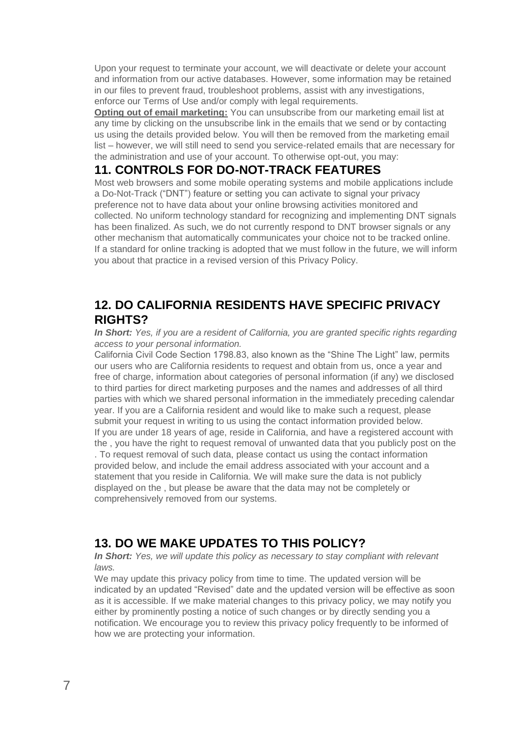Upon your request to terminate your account, we will deactivate or delete your account and information from our active databases. However, some information may be retained in our files to prevent fraud, troubleshoot problems, assist with any investigations, enforce our Terms of Use and/or comply with legal requirements.

**Opting out of email marketing:** You can unsubscribe from our marketing email list at any time by clicking on the unsubscribe link in the emails that we send or by contacting us using the details provided below. You will then be removed from the marketing email list – however, we will still need to send you service-related emails that are necessary for the administration and use of your account. To otherwise opt-out, you may:

## **11. CONTROLS FOR DO-NOT-TRACK FEATURES**

Most web browsers and some mobile operating systems and mobile applications include a Do-Not-Track ("DNT") feature or setting you can activate to signal your privacy preference not to have data about your online browsing activities monitored and collected. No uniform technology standard for recognizing and implementing DNT signals has been finalized. As such, we do not currently respond to DNT browser signals or any other mechanism that automatically communicates your choice not to be tracked online. If a standard for online tracking is adopted that we must follow in the future, we will inform you about that practice in a revised version of this Privacy Policy.

## **12. DO CALIFORNIA RESIDENTS HAVE SPECIFIC PRIVACY RIGHTS?**

*In Short: Yes, if you are a resident of California, you are granted specific rights regarding access to your personal information.* 

California Civil Code Section 1798.83, also known as the "Shine The Light" law, permits our users who are California residents to request and obtain from us, once a year and free of charge, information about categories of personal information (if any) we disclosed to third parties for direct marketing purposes and the names and addresses of all third parties with which we shared personal information in the immediately preceding calendar year. If you are a California resident and would like to make such a request, please submit your request in writing to us using the contact information provided below. If you are under 18 years of age, reside in California, and have a registered account with the , you have the right to request removal of unwanted data that you publicly post on the . To request removal of such data, please contact us using the contact information provided below, and include the email address associated with your account and a statement that you reside in California. We will make sure the data is not publicly displayed on the , but please be aware that the data may not be completely or comprehensively removed from our systems.

# **13. DO WE MAKE UPDATES TO THIS POLICY?**

*In Short: Yes, we will update this policy as necessary to stay compliant with relevant laws.*

We may update this privacy policy from time to time. The updated version will be indicated by an updated "Revised" date and the updated version will be effective as soon as it is accessible. If we make material changes to this privacy policy, we may notify you either by prominently posting a notice of such changes or by directly sending you a notification. We encourage you to review this privacy policy frequently to be informed of how we are protecting your information.